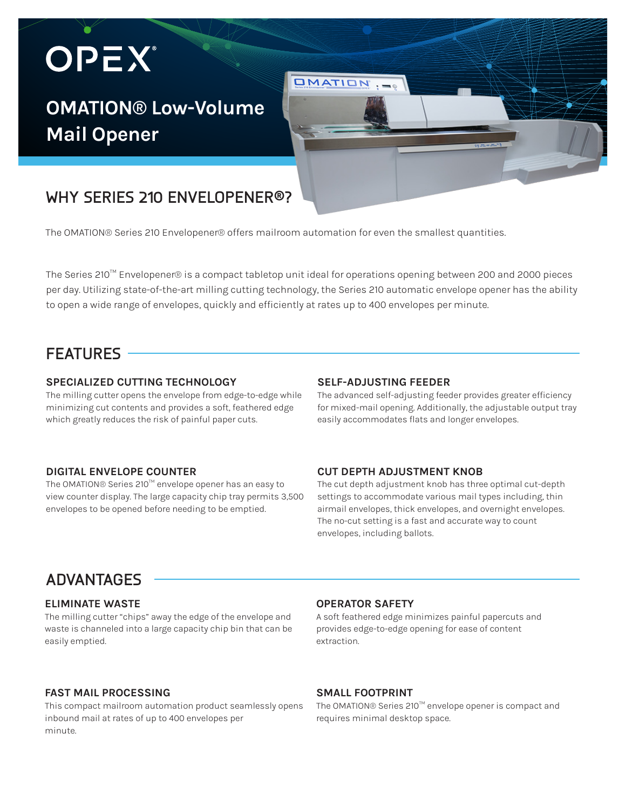# OPEX®

# **OMATION® Low-Volume Mail Opener**

# **WHY SERIES 210 ENVELOPENER®?**

The OMATION® Series 210 Envelopener® offers mailroom automation for even the smallest quantities.

The Series 210™ Envelopener® is a compact tabletop unit ideal for operations opening between 200 and 2000 pieces per day. Utilizing state-of-the-art milling cutting technology, the Series 210 automatic envelope opener has the ability to open a wide range of envelopes, quickly and efficiently at rates up to 400 envelopes per minute.

**OMATION** 

### **FEATURES**

#### **SPECIALIZED CUTTING TECHNOLOGY**

The milling cutter opens the envelope from edge-to-edge while minimizing cut contents and provides a soft, feathered edge which greatly reduces the risk of painful paper cuts.

#### **SELF-ADJUSTING FEEDER**

The advanced self-adjusting feeder provides greater efficiency for mixed-mail opening. Additionally, the adjustable output tray easily accommodates flats and longer envelopes.

#### **DIGITAL ENVELOPE COUNTER**

The OMATION® Series 210™ envelope opener has an easy to view counter display. The large capacity chip tray permits 3,500 envelopes to be opened before needing to be emptied.

#### **CUT DEPTH ADJUSTMENT KNOB**

The cut depth adjustment knob has three optimal cut-depth settings to accommodate various mail types including, thin airmail envelopes, thick envelopes, and overnight envelopes. The no-cut setting is a fast and accurate way to count envelopes, including ballots.

### **ADVANTAGES**

#### **ELIMINATE WASTE**

The milling cutter "chips" away the edge of the envelope and waste is channeled into a large capacity chip bin that can be easily emptied.

#### **FAST MAIL PROCESSING**

This compact mailroom automation product seamlessly opens inbound mail at rates of up to 400 envelopes per minute.

#### **OPERATOR SAFETY**

A soft feathered edge minimizes painful papercuts and provides edge-to-edge opening for ease of content extraction.

#### **SMALL FOOTPRINT**

The OMATION® Series 210™ envelope opener is compact and requires minimal desktop space.